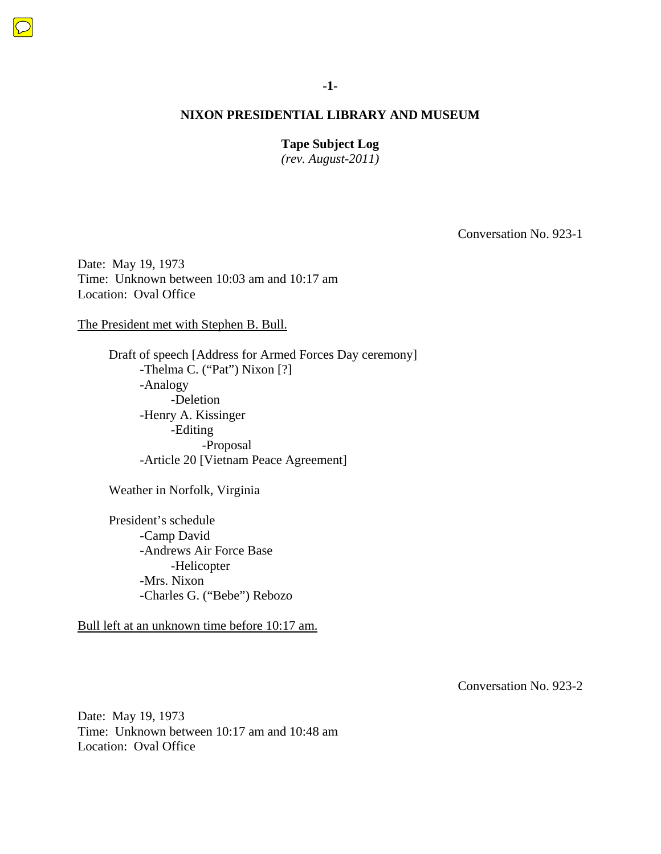**Tape Subject Log** 

*(rev. August-2011)* 

Conversation No. 923-1

Date: May 19, 1973 Time: Unknown between 10:03 am and 10:17 am Location: Oval Office

The President met with Stephen B. Bull.

Draft of speech [Address for Armed Forces Day ceremony] -Thelma C. ("Pat") Nixon [?] -Analogy -Deletion -Henry A. Kissinger -Editing -Proposal -Article 20 [Vietnam Peace Agreement]

Weather in Norfolk, Virginia

 President's schedule -Camp David -Andrews Air Force Base -Helicopter -Mrs. Nixon -Charles G. ("Bebe") Rebozo

Bull left at an unknown time before 10:17 am.

Conversation No. 923-2

Date: May 19, 1973 Time: Unknown between 10:17 am and 10:48 am Location: Oval Office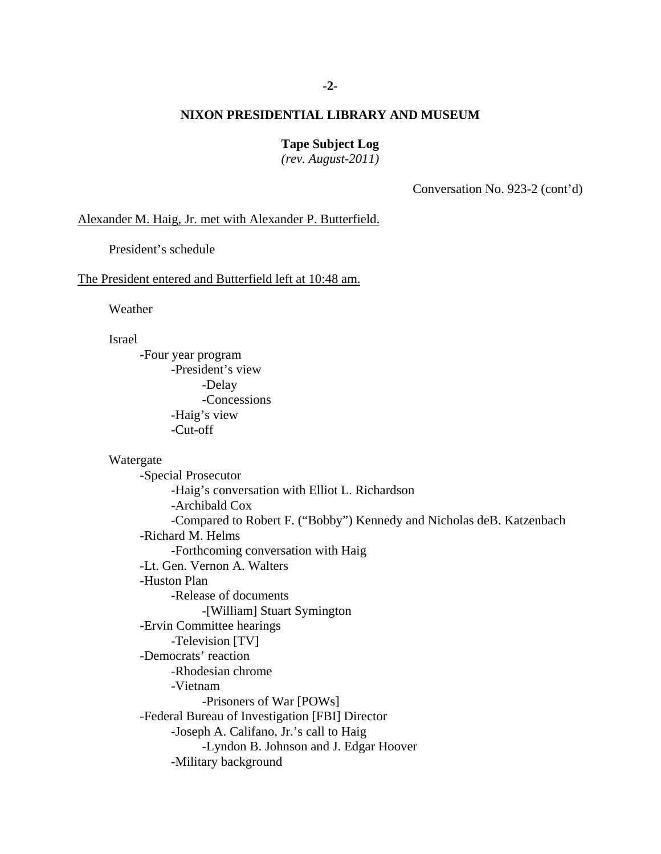# **-2-**

## **NIXON PRESIDENTIAL LIBRARY AND MUSEUM**

**Tape Subject Log** 

*(rev. August-2011)* 

Conversation No. 923-2 (cont'd)

#### Alexander M. Haig, Jr. met with Alexander P. Butterfield.

President's schedule

#### The President entered and Butterfield left at 10:48 am.

Weather

Israel

 -Four year program -President's view -Delay -Concessions -Haig's view -Cut-off

Watergate

 -Special Prosecutor -Haig's conversation with Elliot L. Richardson -Archibald Cox -Compared to Robert F. ("Bobby") Kennedy and Nicholas deB. Katzenbach -Richard M. Helms -Forthcoming conversation with Haig -Lt. Gen. Vernon A. Walters -Huston Plan -Release of documents -[William] Stuart Symington -Ervin Committee hearings -Television [TV] -Democrats' reaction -Rhodesian chrome -Vietnam -Prisoners of War [POWs] -Federal Bureau of Investigation [FBI] Director -Joseph A. Califano, Jr.'s call to Haig -Lyndon B. Johnson and J. Edgar Hoover -Military background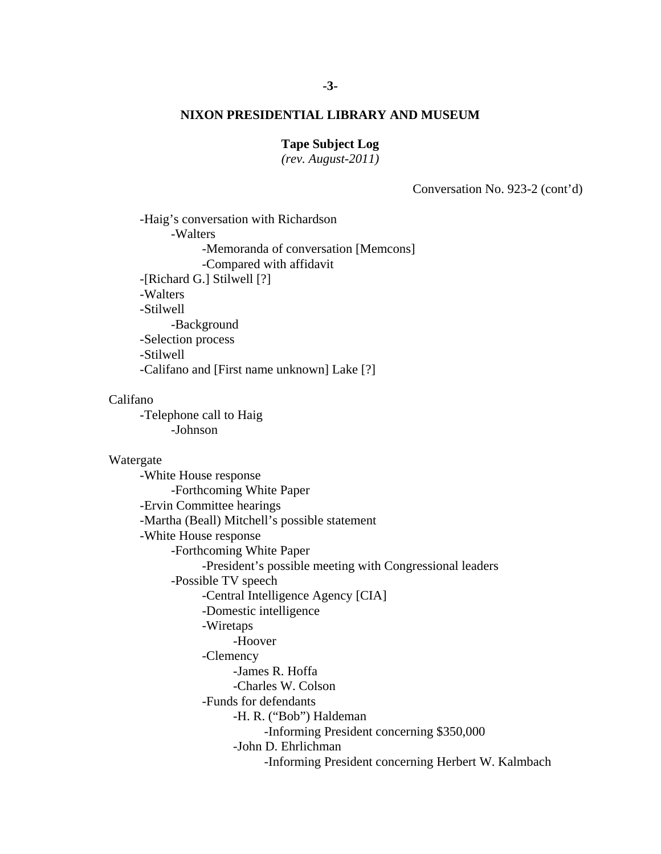## **Tape Subject Log**

*(rev. August-2011)* 

Conversation No. 923-2 (cont'd)

-Haig's conversation with Richardson -Walters -Memoranda of conversation [Memcons] -Compared with affidavit -[Richard G.] Stilwell [?] -Walters -Stilwell -Background -Selection process -Stilwell -Califano and [First name unknown] Lake [?]

#### Califano

-Telephone call to Haig -Johnson

#### Watergate

 -James R. Hoffa -White House response -Forthcoming White Paper -Ervin Committee hearings -Martha (Beall) Mitchell's possible statement -White House response -Forthcoming White Paper -President's possible meeting with Congressional leaders -Possible TV speech -Central Intelligence Agency [CIA] -Domestic intelligence -Wiretaps -Hoover -Clemency -Charles W. Colson -Funds for defendants -H. R. ("Bob") Haldeman -Informing President concerning \$350,000 -John D. Ehrlichman -Informing President concerning Herbert W. Kalmbach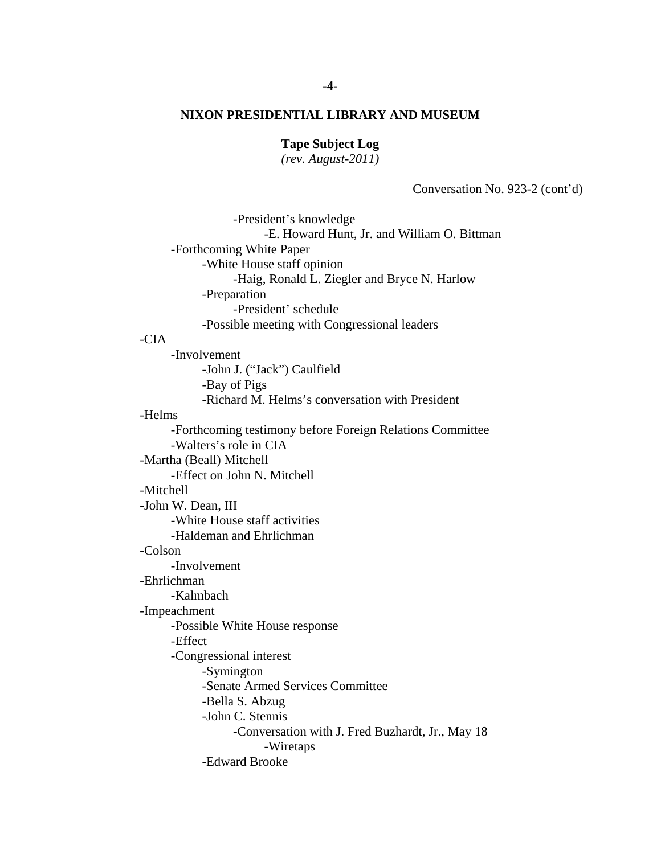**Tape Subject Log** 

*(rev. August-2011)* 

Conversation No. 923-2 (cont'd)

 -President's knowledge -E. Howard Hunt, Jr. and William O. Bittman -Forthcoming White Paper -White House staff opinion -Haig, Ronald L. Ziegler and Bryce N. Harlow -Preparation -President' schedule -Possible meeting with Congressional leaders -CIA -Involvement -John J. ("Jack") Caulfield -Bay of Pigs -Richard M. Helms's conversation with President -Helms -Forthcoming testimony before Foreign Relations Committee -Walters's role in CIA -Martha (Beall) Mitchell -Effect on John N. Mitchell -Mitchell -John W. Dean, III -White House staff activities -Haldeman and Ehrlichman -Colson -Involvement -Ehrlichman -Kalmbach -Impeachment -Possible White House response -Effect -Congressional interest -Symington -Senate Armed Services Committee -Bella S. Abzug -John C. Stennis -Conversation with J. Fred Buzhardt, Jr., May 18 -Wiretaps -Edward Brooke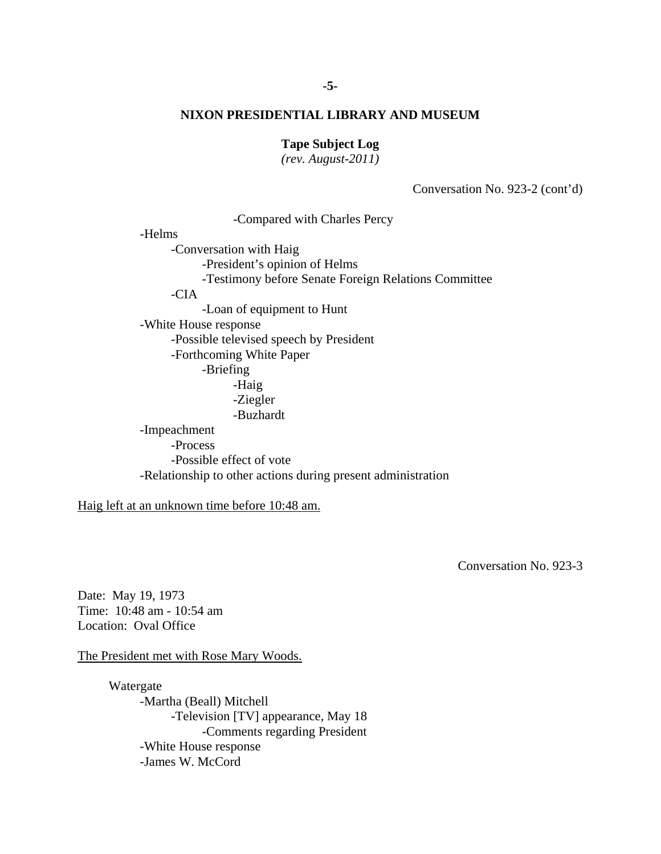## **Tape Subject Log**

*(rev. August-2011)* 

Conversation No. 923-2 (cont'd)

 -Compared with Charles Percy -Helms -Conversation with Haig -President's opinion of Helms -Testimony before Senate Foreign Relations Committee -CIA -Loan of equipment to Hunt -White House response -Possible televised speech by President -Forthcoming White Paper -Briefing -Haig -Ziegler -Buzhardt -Impeachment -Process -Possible effect of vote -Relationship to other actions during present administration

Haig left at an unknown time before 10:48 am.

Conversation No. 923-3

Date: May 19, 1973 Time: 10:48 am - 10:54 am Location: Oval Office

The President met with Rose Mary Woods.

 Watergate -Martha (Beall) Mitchell -Television [TV] appearance, May 18 -Comments regarding President -White House response -James W. McCord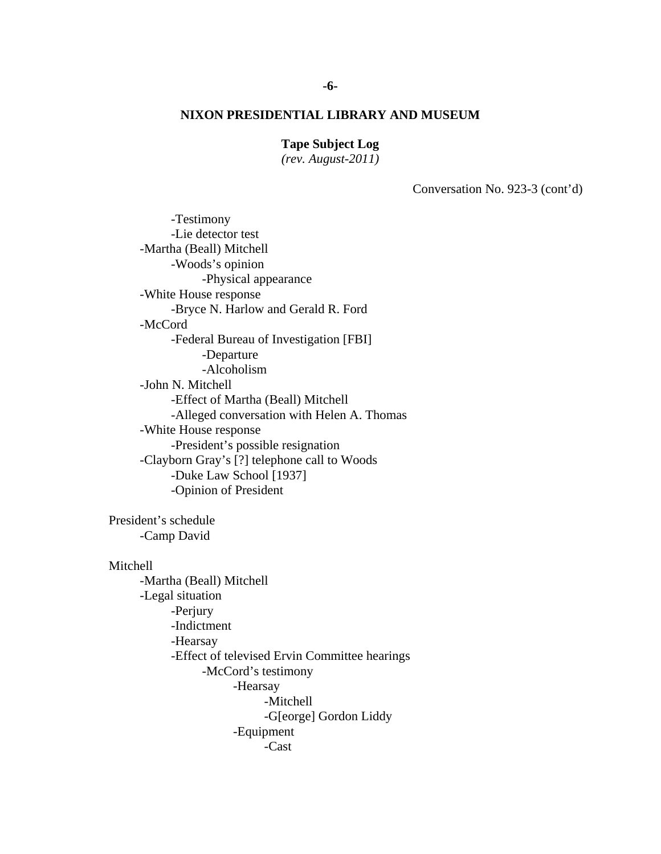# **Tape Subject Log**

*(rev. August-2011)* 

Conversation No. 923-3 (cont'd)

 -Testimony -Lie detector test -Martha (Beall) Mitchell -Woods's opinion -Physical appearance -White House response -Bryce N. Harlow and Gerald R. Ford -McCord -Federal Bureau of Investigation [FBI] -Departure -Alcoholism -John N. Mitchell -Effect of Martha (Beall) Mitchell -Alleged conversation with Helen A. Thomas -White House response -President's possible resignation -Clayborn Gray's [?] telephone call to Woods -Duke Law School [1937] -Opinion of President President's schedule -Camp David Mitchell -Martha (Beall) Mitchell

 -Legal situation -Perjury -Indictment -Hearsay -Effect of televised Ervin Committee hearings -McCord's testimony -Hearsay -Mitchell -G[eorge] Gordon Liddy -Equipment -Cast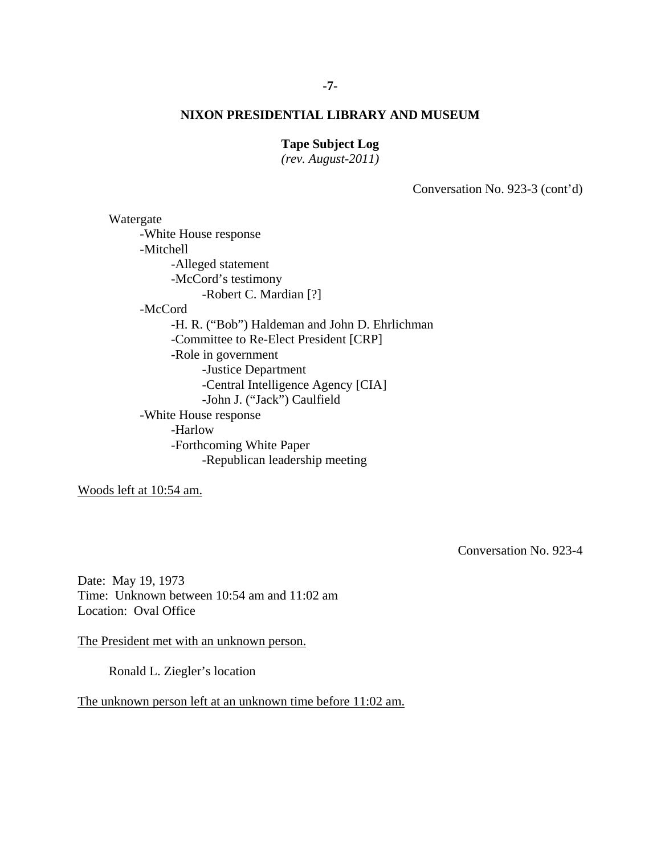# **Tape Subject Log**

*(rev. August-2011)* 

Conversation No. 923-3 (cont'd)

 Watergate -White House response -Mitchell -Alleged statement -McCord's testimony -Robert C. Mardian [?] -McCord -H. R. ("Bob") Haldeman and John D. Ehrlichman -Committee to Re-Elect President [CRP] -Role in government -Justice Department -Central Intelligence Agency [CIA] -John J. ("Jack") Caulfield -White House response -Harlow -Forthcoming White Paper -Republican leadership meeting

Woods left at 10:54 am.

Conversation No. 923-4

Date: May 19, 1973 Time: Unknown between 10:54 am and 11:02 am Location: Oval Office

The President met with an unknown person.

Ronald L. Ziegler's location

The unknown person left at an unknown time before 11:02 am.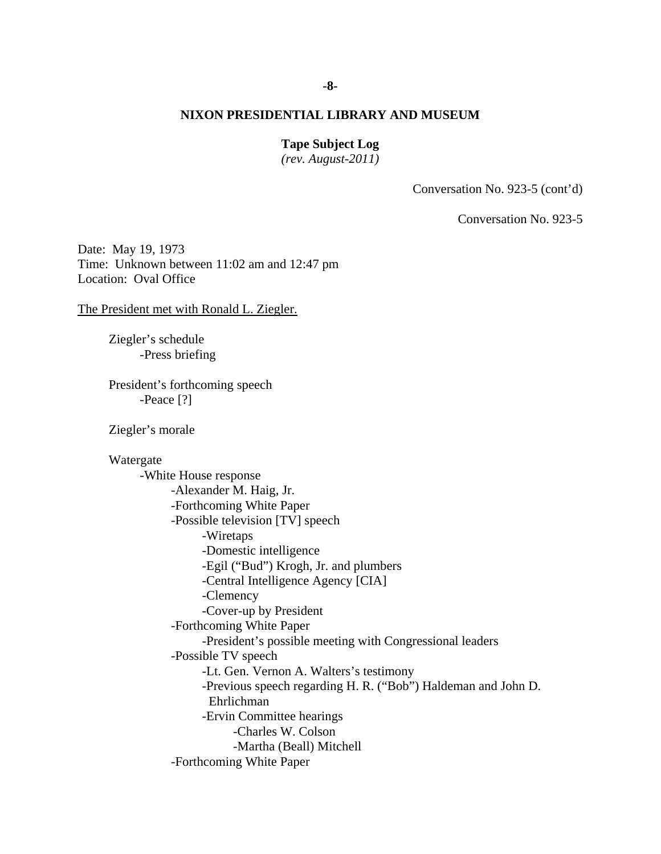# **Tape Subject Log**

*(rev. August-2011)* 

Conversation No. 923-5 (cont'd)

Conversation No. 923-5

Date: May 19, 1973 Time: Unknown between 11:02 am and 12:47 pm Location: Oval Office

The President met with Ronald L. Ziegler.

 Ziegler's schedule -Press briefing

President's forthcoming speech -Peace [?]

Ziegler's morale

 Watergate -White House response -Alexander M. Haig, Jr. -Forthcoming White Paper -Possible television [TV] speech -Wiretaps -Domestic intelligence -Egil ("Bud") Krogh, Jr. and plumbers -Central Intelligence Agency [CIA] -Clemency -Cover-up by President -Forthcoming White Paper -President's possible meeting with Congressional leaders -Possible TV speech -Lt. Gen. Vernon A. Walters's testimony -Previous speech regarding H. R. ("Bob") Haldeman and John D. Ehrlichman -Ervin Committee hearings -Charles W. Colson -Martha (Beall) Mitchell -Forthcoming White Paper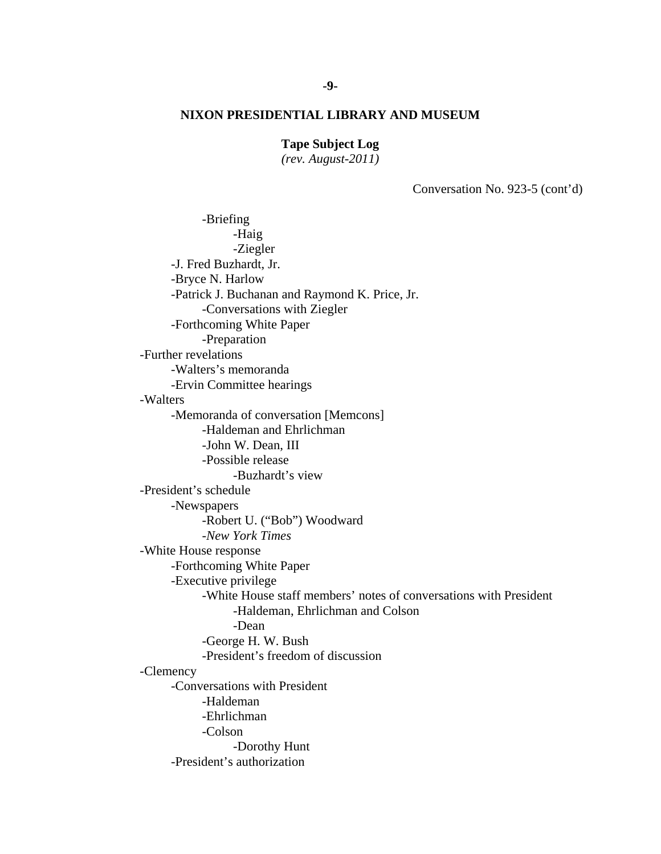# **Tape Subject Log**

*(rev. August-2011)* 

Conversation No. 923-5 (cont'd)

 -George H. W. Bush -Briefing -Haig -Ziegler -J. Fred Buzhardt, Jr. -Bryce N. Harlow -Patrick J. Buchanan and Raymond K. Price, Jr. -Conversations with Ziegler -Forthcoming White Paper -Preparation -Further revelations -Walters's memoranda -Ervin Committee hearings -Walters -Memoranda of conversation [Memcons] -Haldeman and Ehrlichman -John W. Dean, III -Possible release -Buzhardt's view -President's schedule -Newspapers -Robert U. ("Bob") Woodward -*New York Times* -White House response -Forthcoming White Paper -Executive privilege -White House staff members' notes of conversations with President -Haldeman, Ehrlichman and Colson -Dean -President's freedom of discussion -Clemency -Conversations with President -Haldeman -Ehrlichman -Colson -Dorothy Hunt -President's authorization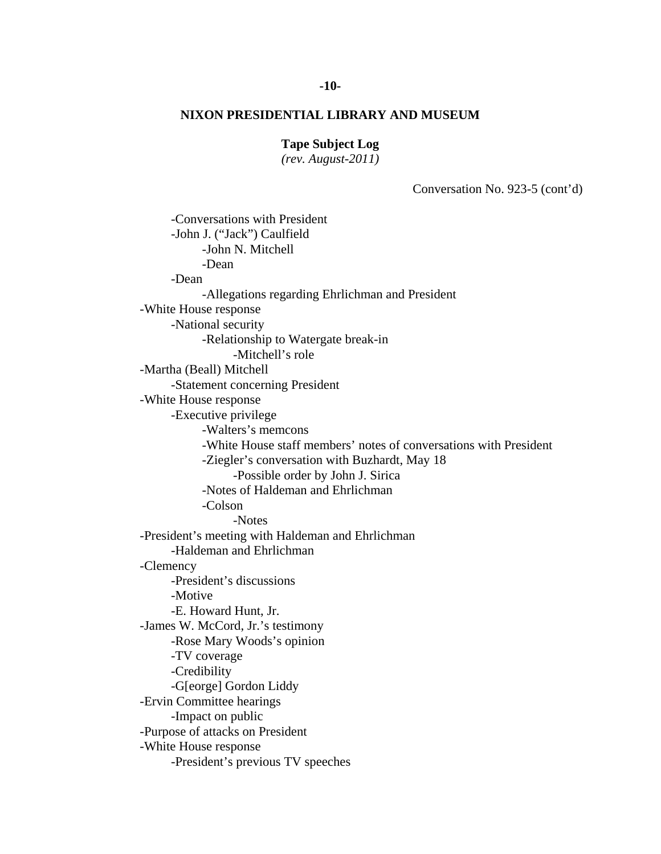# **-10-**

# **NIXON PRESIDENTIAL LIBRARY AND MUSEUM**

# **Tape Subject Log**

*(rev. August-2011)* 

Conversation No. 923-5 (cont'd)

 -Conversations with President -John J. ("Jack") Caulfield -John N. Mitchell -Dean -Dean -Allegations regarding Ehrlichman and President -White House response -National security -Relationship to Watergate break-in -Mitchell's role -Martha (Beall) Mitchell -Statement concerning President -White House response -Executive privilege -Walters's memcons -White House staff members' notes of conversations with President -Ziegler's conversation with Buzhardt, May 18 -Possible order by John J. Sirica -Notes of Haldeman and Ehrlichman -Colson -Notes -President's meeting with Haldeman and Ehrlichman -Haldeman and Ehrlichman -Clemency -President's discussions -Motive -E. Howard Hunt, Jr. -James W. McCord, Jr.'s testimony -Rose Mary Woods's opinion -TV coverage -Credibility -G[eorge] Gordon Liddy -Ervin Committee hearings -Impact on public -Purpose of attacks on President -White House response -President's previous TV speeches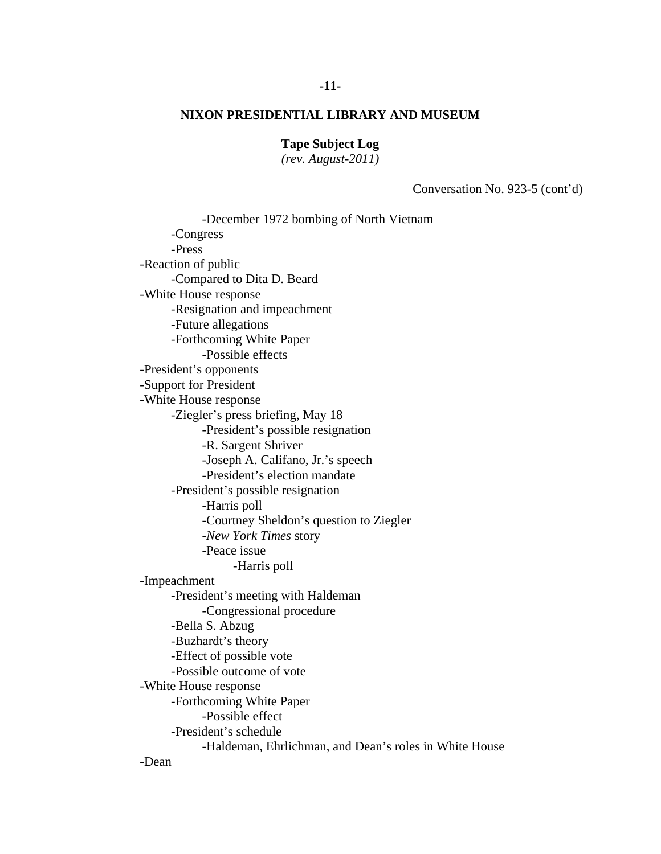**Tape Subject Log** 

*(rev. August-2011)* 

Conversation No. 923-5 (cont'd)

 -Harris poll -December 1972 bombing of North Vietnam -Congress -Press -Reaction of public -Compared to Dita D. Beard -White House response -Resignation and impeachment -Future allegations -Forthcoming White Paper -Possible effects -President's opponents -Support for President -White House response -Ziegler's press briefing, May 18 -President's possible resignation -R. Sargent Shriver -Joseph A. Califano, Jr.'s speech -President's election mandate -President's possible resignation -Harris poll -Courtney Sheldon's question to Ziegler -*New York Times* story -Peace issue -Impeachment -President's meeting with Haldeman -Congressional procedure -Bella S. Abzug -Buzhardt's theory -Effect of possible vote -Possible outcome of vote -White House response -Forthcoming White Paper -Possible effect -President's schedule -Haldeman, Ehrlichman, and Dean's roles in White House -Dean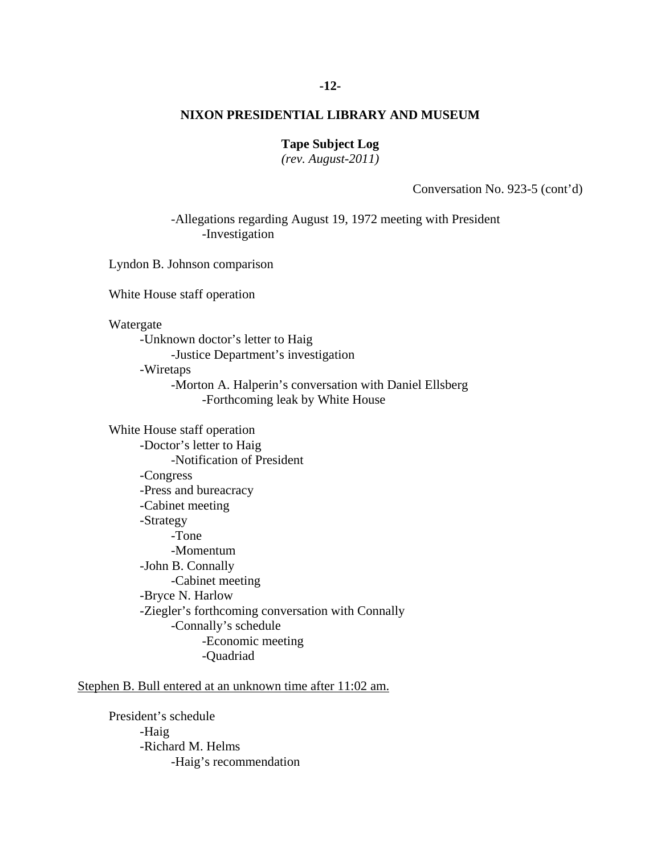#### **-12-**

# **NIXON PRESIDENTIAL LIBRARY AND MUSEUM**

#### **Tape Subject Log**

*(rev. August-2011)* 

Conversation No. 923-5 (cont'd)

-Allegations regarding August 19, 1972 meeting with President -Investigation

Lyndon B. Johnson comparison

White House staff operation

Watergate

-Unknown doctor's letter to Haig

-Justice Department's investigation

-Wiretaps

-Morton A. Halperin's conversation with Daniel Ellsberg -Forthcoming leak by White House

White House staff operation -Doctor's letter to Haig -Notification of President -Congress -Press and bureacracy -Cabinet meeting -Strategy -Tone -Momentum -John B. Connally -Cabinet meeting -Bryce N. Harlow -Ziegler's forthcoming conversation with Connally -Connally's schedule -Economic meeting -Quadriad

Stephen B. Bull entered at an unknown time after 11:02 am.

 President's schedule -Haig -Richard M. Helms -Haig's recommendation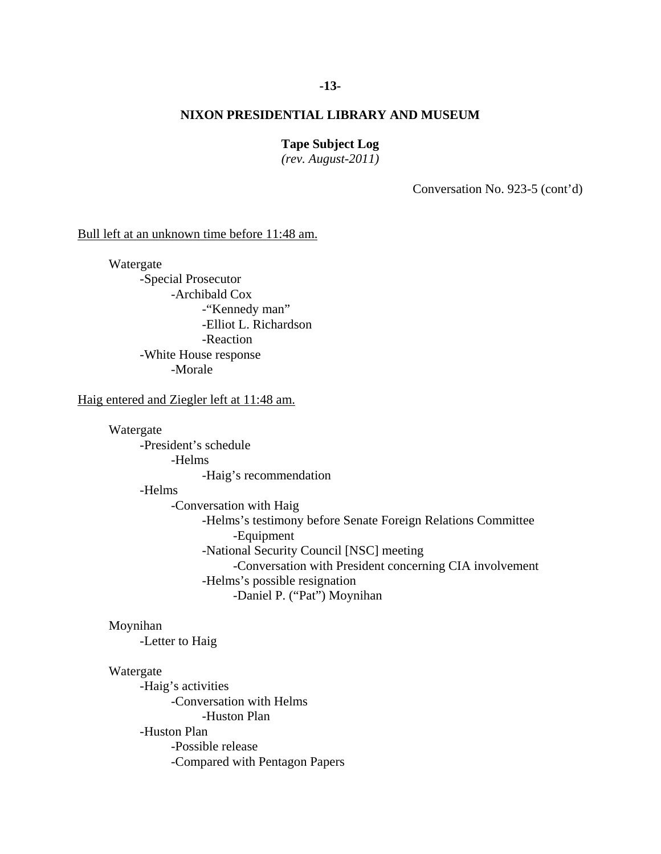#### **-13-**

# **NIXON PRESIDENTIAL LIBRARY AND MUSEUM**

#### **Tape Subject Log**

*(rev. August-2011)* 

Conversation No. 923-5 (cont'd)

Bull left at an unknown time before 11:48 am.

 Watergate -Special Prosecutor -Archibald Cox -"Kennedy man" -Elliot L. Richardson -Reaction -White House response -Morale

#### Haig entered and Ziegler left at 11:48 am.

Watergate

 -President's schedule -Helms

-Haig's recommendation

#### -Helms

 -Conversation with Haig -Helms's testimony before Senate Foreign Relations Committee -Equipment -National Security Council [NSC] meeting -Conversation with President concerning CIA involvement -Helms's possible resignation -Daniel P. ("Pat") Moynihan

### Moynihan

-Letter to Haig

#### Watergate

 -Haig's activities -Conversation with Helms -Huston Plan -Huston Plan -Possible release -Compared with Pentagon Papers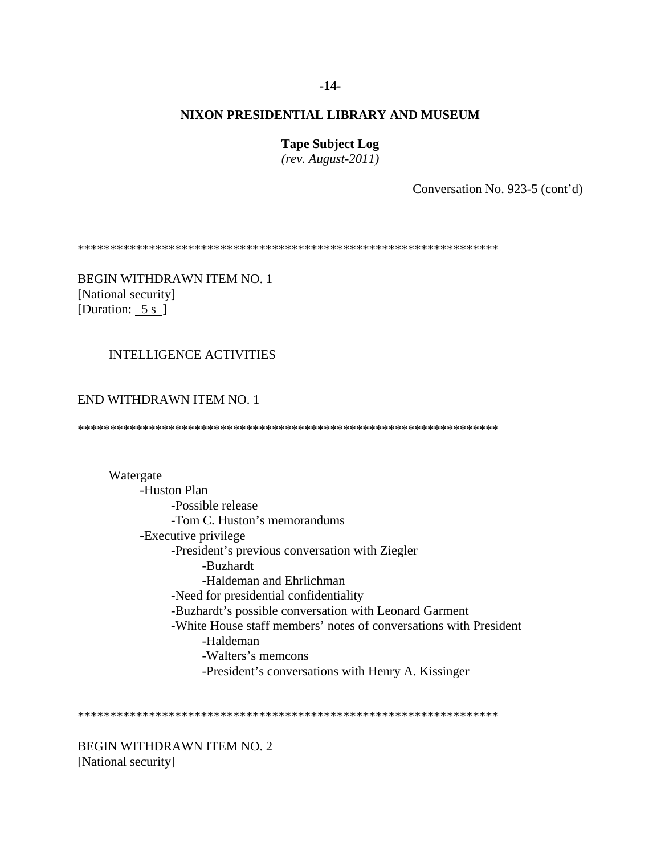#### **-14-**

#### **NIXON PRESIDENTIAL LIBRARY AND MUSEUM**

**Tape Subject Log** 

*(rev. August-2011)* 

Conversation No. 923-5 (cont'd)

\*\*\*\*\*\*\*\*\*\*\*\*\*\*\*\*\*\*\*\*\*\*\*\*\*\*\*\*\*\*\*\*\*\*\*\*\*\*\*\*\*\*\*\*\*\*\*\*\*\*\*\*\*\*\*\*\*\*\*\*\*\*\*\*\*

BEGIN WITHDRAWN ITEM NO. 1 [National security] [Duration: 5 s ]

#### INTELLIGENCE ACTIVITIES

# END WITHDRAWN ITEM NO. 1

\*\*\*\*\*\*\*\*\*\*\*\*\*\*\*\*\*\*\*\*\*\*\*\*\*\*\*\*\*\*\*\*\*\*\*\*\*\*\*\*\*\*\*\*\*\*\*\*\*\*\*\*\*\*\*\*\*\*\*\*\*\*\*\*\*

#### Watergate

 -Huston Plan -Possible release -Tom C. Huston's memorandums -Executive privilege -President's previous conversation with Ziegler -Buzhardt -Haldeman and Ehrlichman -Need for presidential confidentiality -Buzhardt's possible conversation with Leonard Garment -White House staff members' notes of conversations with President -Haldeman -Walters's memcons -President's conversations with Henry A. Kissinger

\*\*\*\*\*\*\*\*\*\*\*\*\*\*\*\*\*\*\*\*\*\*\*\*\*\*\*\*\*\*\*\*\*\*\*\*\*\*\*\*\*\*\*\*\*\*\*\*\*\*\*\*\*\*\*\*\*\*\*\*\*\*\*\*\*

BEGIN WITHDRAWN ITEM NO. 2 [National security]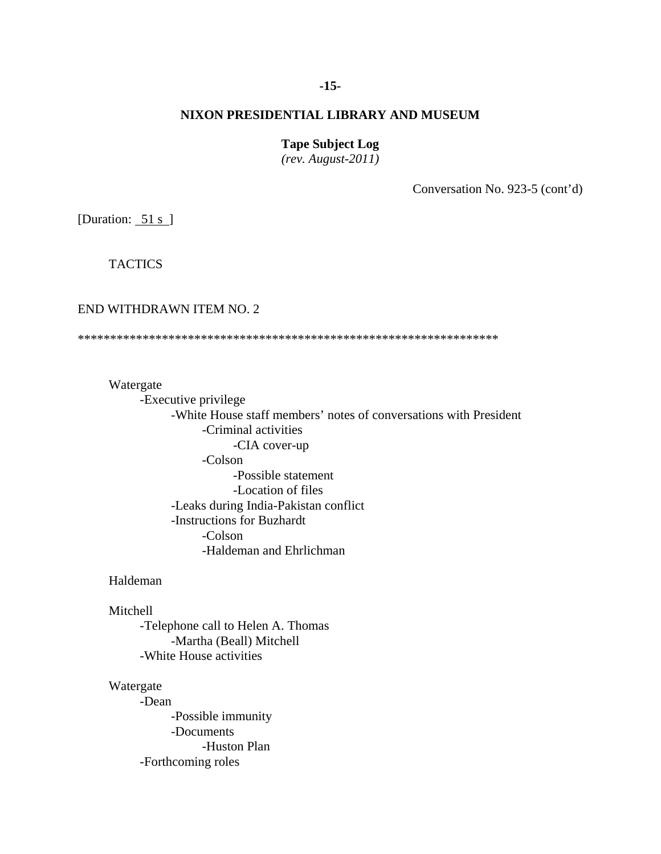# **-15-**

# **NIXON PRESIDENTIAL LIBRARY AND MUSEUM**

#### **Tape Subject Log**

*(rev. August-2011)* 

Conversation No. 923-5 (cont'd)

[Duration:  $51 s$ ]

**TACTICS** 

# END WITHDRAWN ITEM NO. 2

\*\*\*\*\*\*\*\*\*\*\*\*\*\*\*\*\*\*\*\*\*\*\*\*\*\*\*\*\*\*\*\*\*\*\*\*\*\*\*\*\*\*\*\*\*\*\*\*\*\*\*\*\*\*\*\*\*\*\*\*\*\*\*\*\*

Watergate

 -Executive privilege -White House staff members' notes of conversations with President -Criminal activities -CIA cover-up -Colson -Possible statement -Location of files -Leaks during India-Pakistan conflict -Instructions for Buzhardt -Colson -Haldeman and Ehrlichman

Haldeman

Mitchell

-Telephone call to Helen A. Thomas -Martha (Beall) Mitchell -White House activities

#### Watergate

-Dean -Possible immunity -Documents -Huston Plan -Forthcoming roles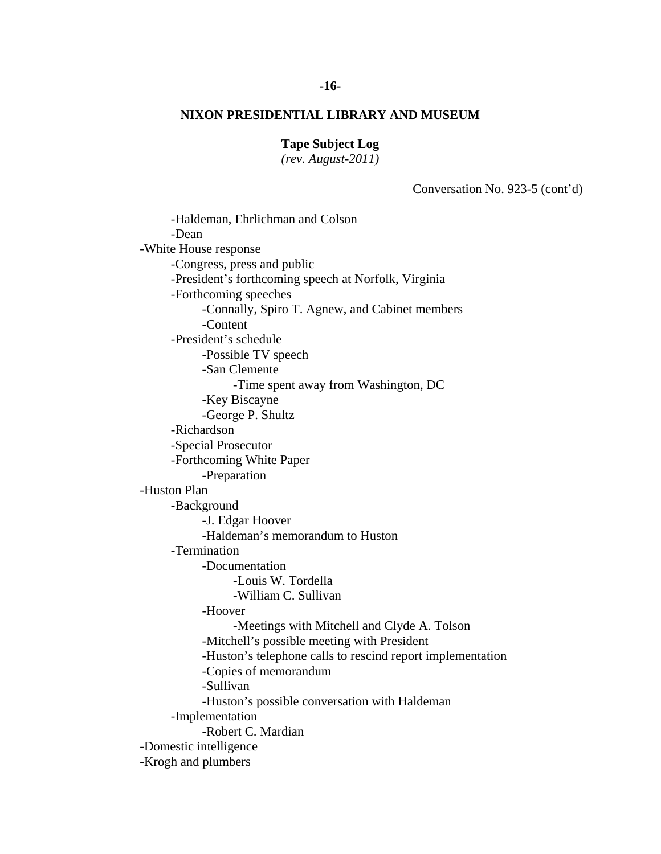# **Tape Subject Log**

*(rev. August-2011)* 

Conversation No. 923-5 (cont'd)

 -George P. Shultz -Louis W. Tordella -Haldeman, Ehrlichman and Colson -Dean -White House response -Congress, press and public -President's forthcoming speech at Norfolk, Virginia -Forthcoming speeches -Connally, Spiro T. Agnew, and Cabinet members -Content -President's schedule -Possible TV speech -San Clemente -Time spent away from Washington, DC -Key Biscayne -Richardson -Special Prosecutor -Forthcoming White Paper -Preparation -Huston Plan -Background -J. Edgar Hoover -Haldeman's memorandum to Huston -Termination -Documentation -William C. Sullivan -Hoover -Meetings with Mitchell and Clyde A. Tolson -Mitchell's possible meeting with President -Huston's telephone calls to rescind report implementation -Copies of memorandum -Sullivan -Huston's possible conversation with Haldeman -Implementation -Robert C. Mardian -Domestic intelligence -Krogh and plumbers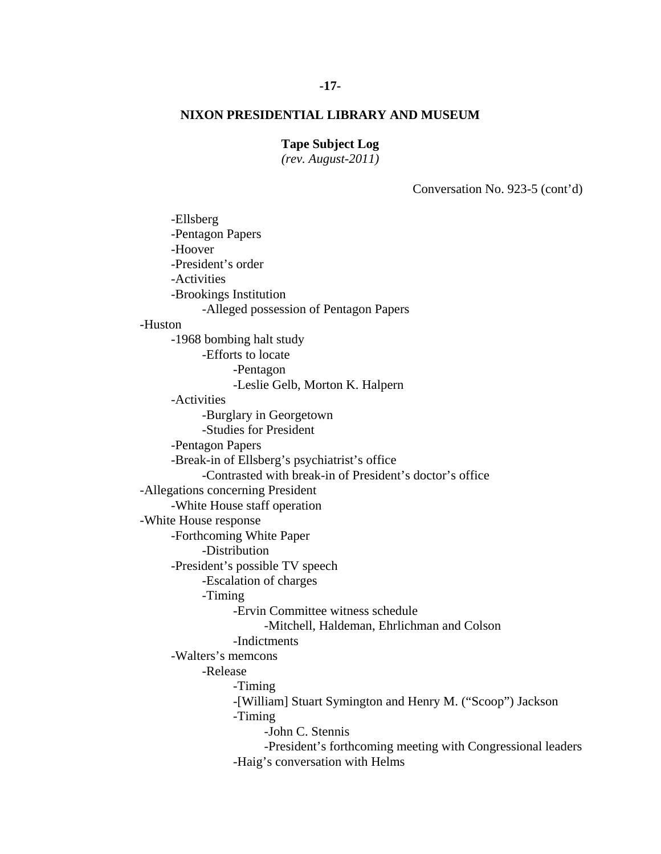# **-17-**

# **NIXON PRESIDENTIAL LIBRARY AND MUSEUM**

# **Tape Subject Log**

*(rev. August-2011)* 

Conversation No. 923-5 (cont'd)

-Ellsberg -Pentagon Papers -Hoover -President's order -Activities -Brookings Institution -Alleged possession of Pentagon Papers -Huston -1968 bombing halt study -Efforts to locate -Pentagon -Leslie Gelb, Morton K. Halpern -Activities -Burglary in Georgetown -Studies for President -Pentagon Papers -Break-in of Ellsberg's psychiatrist's office -Contrasted with break-in of President's doctor's office -Allegations concerning President -White House staff operation -White House response -Forthcoming White Paper -Distribution -President's possible TV speech -Escalation of charges -Timing -Ervin Committee witness schedule -Mitchell, Haldeman, Ehrlichman and Colson -Indictments -Walters's memcons -Release -Timing -[William] Stuart Symington and Henry M. ("Scoop") Jackson -Timing -John C. Stennis -President's forthcoming meeting with Congressional leaders -Haig's conversation with Helms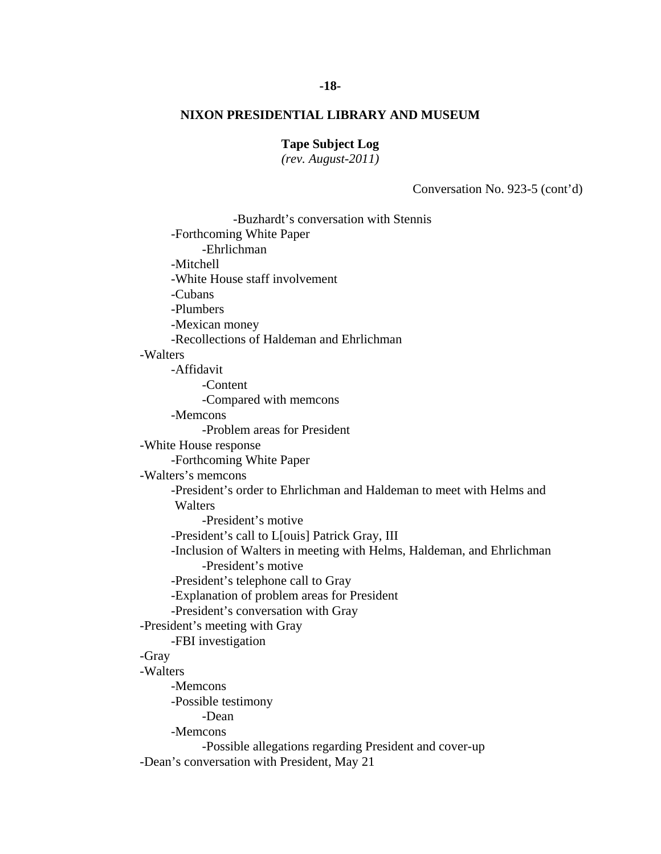## **Tape Subject Log**

*(rev. August-2011)* 

Conversation No. 923-5 (cont'd)

 -Buzhardt's conversation with Stennis -Forthcoming White Paper -Ehrlichman -Mitchell -White House staff involvement -Cubans -Plumbers -Mexican money -Recollections of Haldeman and Ehrlichman -Walters -Affidavit -Content -Compared with memcons -Memcons -Problem areas for President -White House response -Forthcoming White Paper -Walters's memcons -President's order to Ehrlichman and Haldeman to meet with Helms and **Walters**  -President's motive -President's call to L[ouis] Patrick Gray, III -Inclusion of Walters in meeting with Helms, Haldeman, and Ehrlichman -President's motive -President's telephone call to Gray -Explanation of problem areas for President -President's conversation with Gray -President's meeting with Gray -FBI investigation -Gray -Walters -Memcons -Possible testimony -Dean -Memcons -Possible allegations regarding President and cover-up -Dean's conversation with President, May 21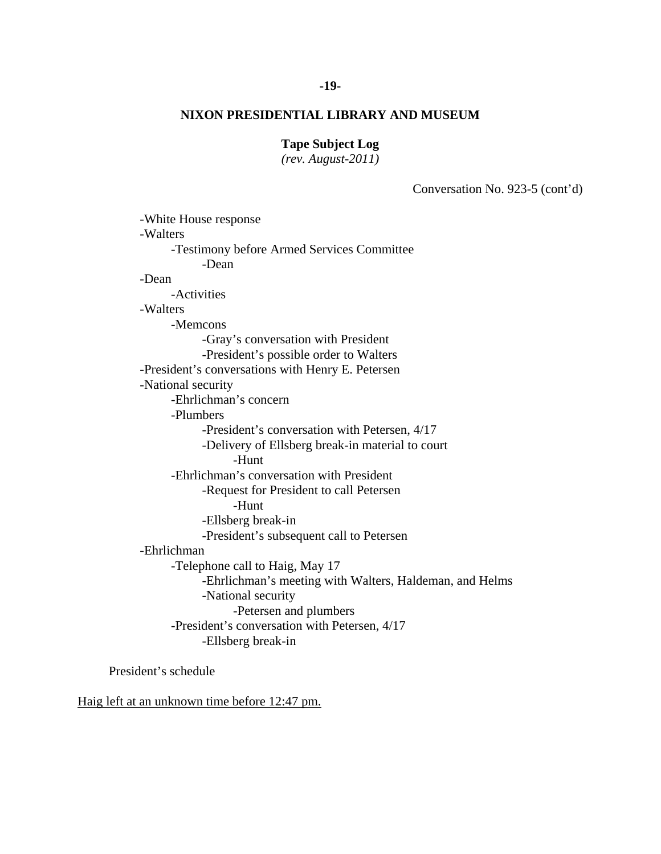# **-19-**

# **NIXON PRESIDENTIAL LIBRARY AND MUSEUM**

# **Tape Subject Log**

*(rev. August-2011)* 

Conversation No. 923-5 (cont'd)

 -White House response -Walters -Testimony before Armed Services Committee -Dean -Dean -Activities -Walters -Memcons -Gray's conversation with President -President's possible order to Walters -President's conversations with Henry E. Petersen -National security -Ehrlichman's concern -Plumbers -President's conversation with Petersen, 4/17 -Delivery of Ellsberg break-in material to court -Hunt -Ehrlichman's conversation with President -Request for President to call Petersen -Hunt -Ellsberg break-in -President's subsequent call to Petersen -Ehrlichman -Telephone call to Haig, May 17 -Ehrlichman's meeting with Walters, Haldeman, and Helms -National security -Petersen and plumbers -President's conversation with Petersen, 4/17 -Ellsberg break-in

President's schedule

Haig left at an unknown time before 12:47 pm.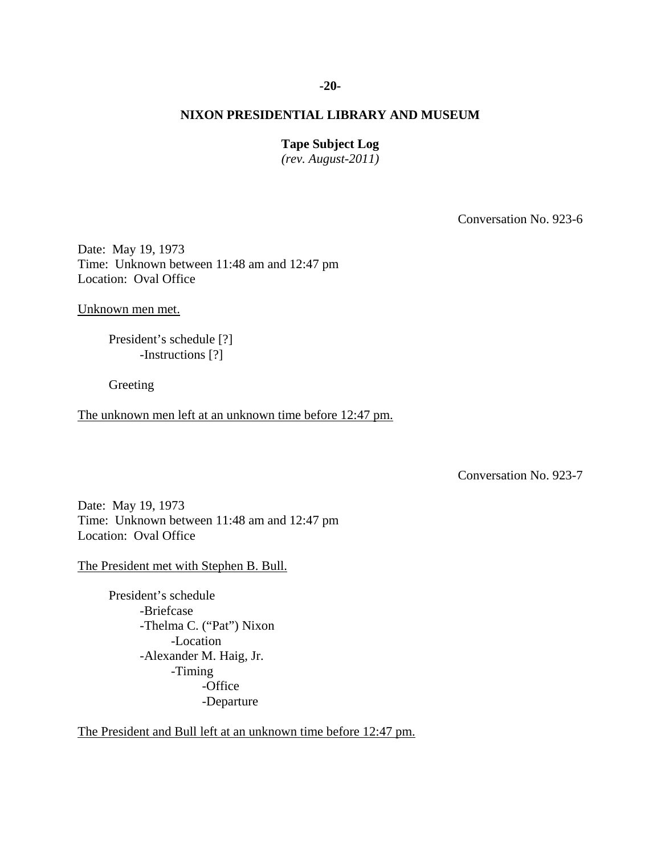#### **-20-**

#### **NIXON PRESIDENTIAL LIBRARY AND MUSEUM**

#### **Tape Subject Log**

*(rev. August-2011)* 

Conversation No. 923-6

Date: May 19, 1973 Time: Unknown between 11:48 am and 12:47 pm Location: Oval Office

Unknown men met.

President's schedule [?] -Instructions [?]

Greeting

The unknown men left at an unknown time before 12:47 pm.

Conversation No. 923-7

Date: May 19, 1973 Time: Unknown between 11:48 am and 12:47 pm Location: Oval Office

The President met with Stephen B. Bull.

 President's schedule -Briefcase -Thelma C. ("Pat") Nixon -Location -Alexander M. Haig, Jr. -Timing -Office -Departure

The President and Bull left at an unknown time before 12:47 pm.